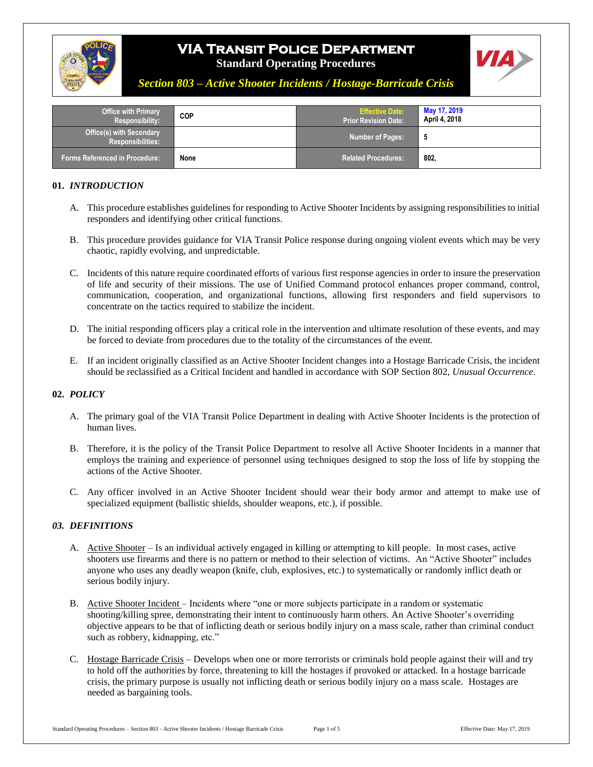

# **VIA Transit Police Department**



**Standard Operating Procedures**

*Section 803 – Active Shooter Incidents / Hostage-Barricade Crisis*

| <b>Office with Primary</b><br><b>Responsibility:</b>        | <b>COP</b> | <b>Effective Date:</b><br><b>Prior Revision Date:</b> | May 17, 2019<br>April 4, 2018 |
|-------------------------------------------------------------|------------|-------------------------------------------------------|-------------------------------|
| <b>Office(s) with Secondary</b><br><b>Responsibilities:</b> |            | <b>Number of Pages:</b>                               |                               |
| <b>Forms Referenced in Procedure:</b>                       | None       | Related Procedures:                                   | 802,                          |

#### **01.** *INTRODUCTION*

- A. This procedure establishes guidelines for responding to Active Shooter Incidents by assigning responsibilities to initial responders and identifying other critical functions.
- B. This procedure provides guidance for VIA Transit Police response during ongoing violent events which may be very chaotic, rapidly evolving, and unpredictable.
- C. Incidents of this nature require coordinated efforts of various first response agencies in order to insure the preservation of life and security of their missions. The use of Unified Command protocol enhances proper command, control, communication, cooperation, and organizational functions, allowing first responders and field supervisors to concentrate on the tactics required to stabilize the incident.
- D. The initial responding officers play a critical role in the intervention and ultimate resolution of these events, and may be forced to deviate from procedures due to the totality of the circumstances of the event.
- E. If an incident originally classified as an Active Shooter Incident changes into a Hostage Barricade Crisis, the incident should be reclassified as a Critical Incident and handled in accordance with SOP Section 802, *Unusual Occurrence*.

## **02.** *POLICY*

- A. The primary goal of the VIA Transit Police Department in dealing with Active Shooter Incidents is the protection of human lives.
- B. Therefore, it is the policy of the Transit Police Department to resolve all Active Shooter Incidents in a manner that employs the training and experience of personnel using techniques designed to stop the loss of life by stopping the actions of the Active Shooter.
- C. Any officer involved in an Active Shooter Incident should wear their body armor and attempt to make use of specialized equipment (ballistic shields, shoulder weapons, etc.), if possible.

#### *03. DEFINITIONS*

- A. Active Shooter Is an individual actively engaged in killing or attempting to kill people. In most cases, active shooters use firearms and there is no pattern or method to their selection of victims. An "Active Shooter" includes anyone who uses any deadly weapon (knife, club, explosives, etc.) to systematically or randomly inflict death or serious bodily injury.
- B. Active Shooter Incident Incidents where "one or more subjects participate in a random or systematic shooting/killing spree, demonstrating their intent to continuously harm others. An Active Shooter's overriding objective appears to be that of inflicting death or serious bodily injury on a mass scale, rather than criminal conduct such as robbery, kidnapping, etc."
- C. Hostage Barricade Crisis Develops when one or more terrorists or criminals hold people against their will and try to hold off the authorities by force, threatening to kill the hostages if provoked or attacked. In a hostage barricade crisis, the primary purpose is usually not inflicting death or serious bodily injury on a mass scale. Hostages are needed as bargaining tools.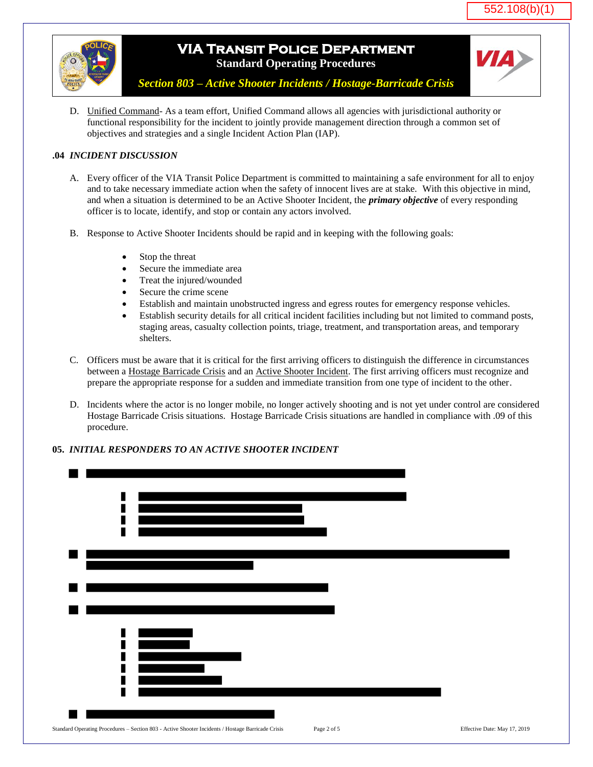

# **VIA Transit Police Department Standard Operating Procedures**



*Section 803 – Active Shooter Incidents / Hostage-Barricade Crisis*

D. Unified Command- As a team effort, Unified Command allows all agencies with jurisdictional authority or functional responsibility for the incident to jointly provide management direction through a common set of objectives and strategies and a single Incident Action Plan (IAP).

## **.04** *INCIDENT DISCUSSION*

- A. Every officer of the VIA Transit Police Department is committed to maintaining a safe environment for all to enjoy and to take necessary immediate action when the safety of innocent lives are at stake. With this objective in mind, and when a situation is determined to be an Active Shooter Incident, the *primary objective* of every responding officer is to locate, identify, and stop or contain any actors involved.
- B. Response to Active Shooter Incidents should be rapid and in keeping with the following goals:
	- Stop the threat
	- Secure the immediate area
	- Treat the injured/wounded
	- Secure the crime scene
	- Establish and maintain unobstructed ingress and egress routes for emergency response vehicles.
	- Establish security details for all critical incident facilities including but not limited to command posts, staging areas, casualty collection points, triage, treatment, and transportation areas, and temporary shelters.
- C. Officers must be aware that it is critical for the first arriving officers to distinguish the difference in circumstances between a Hostage Barricade Crisis and an Active Shooter Incident. The first arriving officers must recognize and prepare the appropriate response for a sudden and immediate transition from one type of incident to the other.
- D. Incidents where the actor is no longer mobile, no longer actively shooting and is not yet under control are considered Hostage Barricade Crisis situations. Hostage Barricade Crisis situations are handled in compliance with .09 of this procedure.

## **05.** *INITIAL RESPONDERS TO AN ACTIVE SHOOTER INCIDENT*

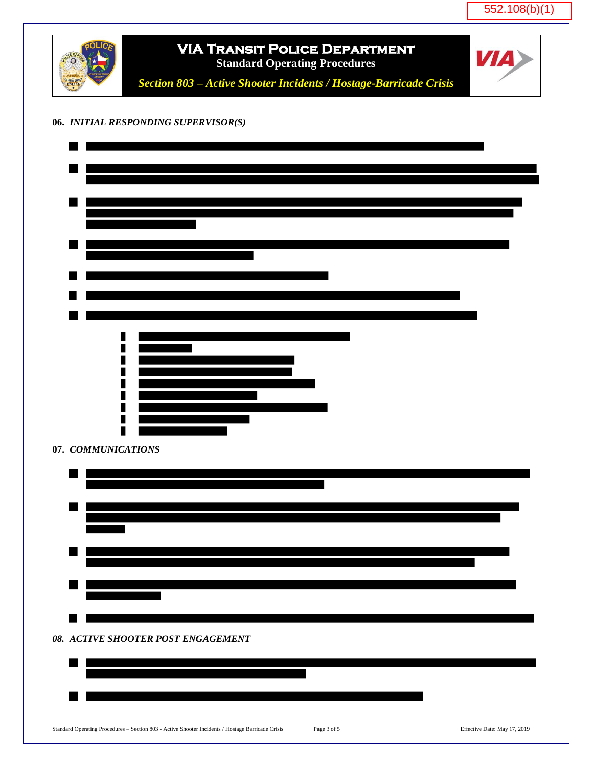552.108(b)(1)

|                    | <b>VIA TRANSIT POLICE DEPARTMENT</b><br><b>Standard Operating Procedures</b> | <b>VIA</b> |
|--------------------|------------------------------------------------------------------------------|------------|
|                    | Section 803 - Active Shooter Incidents / Hostage-Barricade Crisis            |            |
|                    |                                                                              |            |
|                    | 06. INITIAL RESPONDING SUPERVISOR(S)                                         |            |
|                    |                                                                              |            |
|                    |                                                                              |            |
|                    |                                                                              |            |
|                    |                                                                              |            |
|                    |                                                                              |            |
|                    |                                                                              |            |
|                    |                                                                              |            |
|                    |                                                                              |            |
|                    |                                                                              |            |
|                    |                                                                              |            |
|                    |                                                                              |            |
|                    |                                                                              |            |
|                    |                                                                              |            |
|                    |                                                                              |            |
|                    |                                                                              |            |
| 07. COMMUNICATIONS |                                                                              |            |
|                    |                                                                              |            |
|                    |                                                                              |            |
|                    |                                                                              |            |
|                    |                                                                              |            |
|                    |                                                                              |            |
|                    |                                                                              |            |
|                    |                                                                              |            |
|                    |                                                                              |            |
|                    | 08. ACTIVE SHOOTER POST ENGAGEMENT                                           |            |
|                    |                                                                              |            |
|                    |                                                                              |            |
|                    |                                                                              |            |
|                    |                                                                              |            |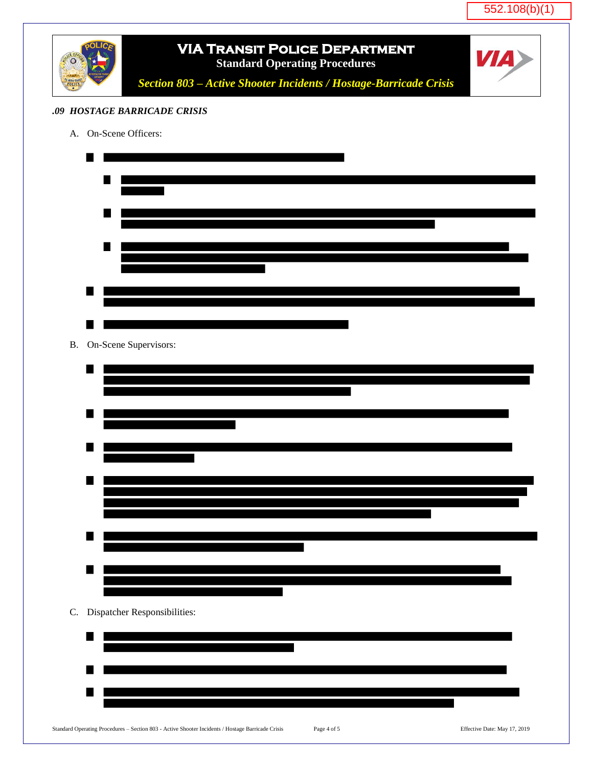552.108(b)(1)

|           | <b>VIA TRANSIT POLICE DEPARTMENT</b><br><b>Standard Operating Procedures</b><br>Section 803 - Active Shooter Incidents / Hostage-Barricade Crisis | <b>VIA</b>                   |
|-----------|---------------------------------------------------------------------------------------------------------------------------------------------------|------------------------------|
|           | .09 HOSTAGE BARRICADE CRISIS                                                                                                                      |                              |
|           | A. On-Scene Officers:                                                                                                                             |                              |
|           |                                                                                                                                                   |                              |
|           |                                                                                                                                                   |                              |
|           |                                                                                                                                                   |                              |
|           |                                                                                                                                                   |                              |
|           |                                                                                                                                                   |                              |
|           |                                                                                                                                                   |                              |
|           |                                                                                                                                                   |                              |
| <b>B.</b> | On-Scene Supervisors:                                                                                                                             |                              |
|           |                                                                                                                                                   |                              |
|           |                                                                                                                                                   |                              |
|           |                                                                                                                                                   |                              |
|           |                                                                                                                                                   |                              |
|           |                                                                                                                                                   |                              |
|           |                                                                                                                                                   |                              |
|           |                                                                                                                                                   |                              |
|           |                                                                                                                                                   |                              |
|           |                                                                                                                                                   |                              |
| C.        | Dispatcher Responsibilities:                                                                                                                      |                              |
|           |                                                                                                                                                   |                              |
|           |                                                                                                                                                   |                              |
|           |                                                                                                                                                   |                              |
|           | Standard Operating Procedures - Section 803 - Active Shooter Incidents / Hostage Barricade Crisis<br>Page 4 of 5                                  | Effective Date: May 17, 2019 |